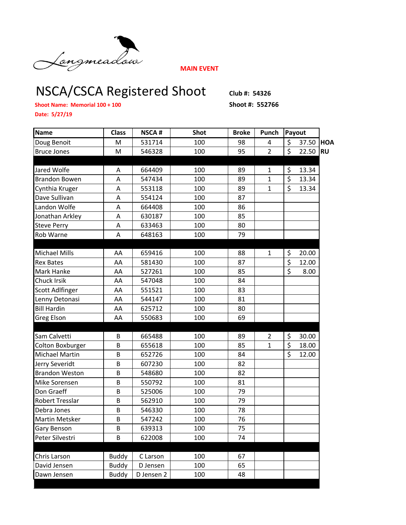

**MAIN EVENT**

## NSCA/CSCA Registered Shoot **Club #: 54326**

**Shoot Name: Memorial 100 + 100 Shoot #: 552766**

**Date: 5/27/19**

| Name                  | <b>Class</b> | <b>NSCA#</b> | <b>Shot</b> | <b>Broke</b> | Punch          | Payout                   |       |           |
|-----------------------|--------------|--------------|-------------|--------------|----------------|--------------------------|-------|-----------|
| Doug Benoit           | M            | 531714       | 100         | 98           | 4              | \$                       | 37.50 | HOA       |
| <b>Bruce Jones</b>    | M            | 546328       | 100         | 95           | $\overline{2}$ | $\zeta$                  | 22.50 | <b>RU</b> |
|                       |              |              |             |              |                |                          |       |           |
| Jared Wolfe           | Α            | 664409       | 100         | 89           | $\mathbf{1}$   | \$                       | 13.34 |           |
| <b>Brandon Bowen</b>  | Α            | 547434       | 100         | 89           | $\mathbf{1}$   | \$                       | 13.34 |           |
| Cynthia Kruger        | A            | 553118       | 100         | 89           | $\mathbf{1}$   | \$                       | 13.34 |           |
| Dave Sullivan         | А            | 554124       | 100         | 87           |                |                          |       |           |
| Landon Wolfe          | Α            | 664408       | 100         | 86           |                |                          |       |           |
| Jonathan Arkley       | A            | 630187       | 100         | 85           |                |                          |       |           |
| <b>Steve Perry</b>    | A            | 633463       | 100         | 80           |                |                          |       |           |
| Rob Warne             | Α            | 648163       | 100         | 79           |                |                          |       |           |
|                       |              |              |             |              |                |                          |       |           |
| <b>Michael Mills</b>  | AA           | 659416       | 100         | 88           | $\mathbf{1}$   | \$                       | 20.00 |           |
| <b>Rex Bates</b>      | AA           | 581430       | 100         | 87           |                | \$                       | 12.00 |           |
| Mark Hanke            | AA           | 527261       | 100         | 85           |                | $\overline{\mathcal{S}}$ | 8.00  |           |
| Chuck Irsik           | AA           | 547048       | 100         | 84           |                |                          |       |           |
| Scott Adlfinger       | AA           | 551521       | 100         | 83           |                |                          |       |           |
| Lenny Detonasi        | AA           | 544147       | 100         | 81           |                |                          |       |           |
| <b>Bill Hardin</b>    | AA           | 625712       | 100         | 80           |                |                          |       |           |
| Greg Elson            | AA           | 550683       | 100         | 69           |                |                          |       |           |
|                       |              |              |             |              |                |                          |       |           |
| Sam Calvetti          | B            | 665488       | 100         | 89           | $\overline{2}$ | \$                       | 30.00 |           |
| Colton Boxburger      | B            | 655618       | 100         | 85           | $\mathbf{1}$   | \$                       | 18.00 |           |
| <b>Michael Martin</b> | B            | 652726       | 100         | 84           |                | \$                       | 12.00 |           |
| Jerry Severidt        | B            | 607230       | 100         | 82           |                |                          |       |           |
| <b>Brandon Weston</b> | B            | 548680       | 100         | 82           |                |                          |       |           |
| Mike Sorensen         | B            | 550792       | 100         | 81           |                |                          |       |           |
| Don Graeff            | B            | 525006       | 100         | 79           |                |                          |       |           |
| Robert Tresslar       | B            | 562910       | 100         | 79           |                |                          |       |           |
| Debra Jones           | B            | 546330       | 100         | 78           |                |                          |       |           |
| <b>Martin Metsker</b> | B            | 547242       | 100         | 76           |                |                          |       |           |
| Gary Benson           | В            | 639313       | 100         | 75           |                |                          |       |           |
| Peter Silvestri       | B            | 622008       | 100         | 74           |                |                          |       |           |
|                       |              |              |             |              |                |                          |       |           |
| Chris Larson          | <b>Buddy</b> | C Larson     | 100         | 67           |                |                          |       |           |
| David Jensen          | <b>Buddy</b> | D Jensen     | 100         | 65           |                |                          |       |           |
| Dawn Jensen           | <b>Buddy</b> | D Jensen 2   | 100         | 48           |                |                          |       |           |